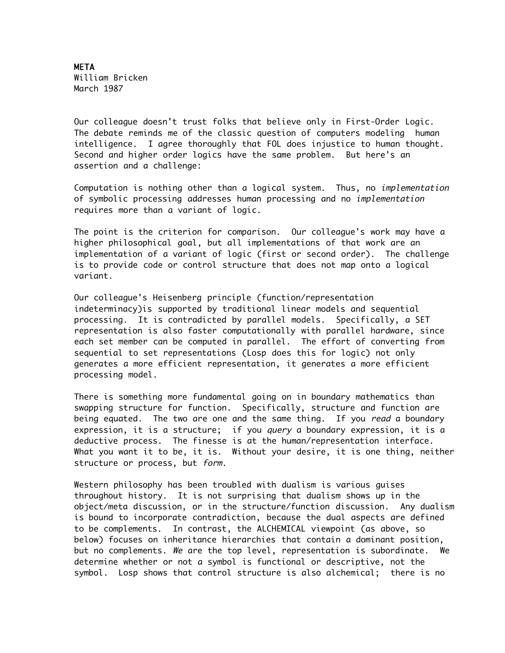**META** William Bricken March 1987

Our colleague doesn't trust folks that believe only in First-Order Logic. The debate reminds me of the classic question of computers modeling human intelligence. I agree thoroughly that FOL does injustice to human thought. Second and higher order logics have the same problem. But here's an assertion and a challenge:

Computation is nothing other than a logical system. Thus, no implementation of symbolic processing addresses human processing and no implementation requires more than a variant of logic.

The point is the criterion for comparison. Our colleague's work may have a higher philosophical goal, but all implementations of that work are an implementation of a variant of logic (first or second order). The challenge is to provide code or control structure that does not map onto a logical variant.

Our colleague's Heisenberg principle (function/representation indeterminacy)is supported by traditional linear models and sequential processing. It is contradicted by parallel models. Specifically, a SET representation is also faster computationally with parallel hardware, since each set member can be computed in parallel. The effort of converting from sequential to set representations (Losp does this for logic) not only generates a more efficient representation, it generates a more efficient processing model.

There is something more fundamental going on in boundary mathematics than swapping structure for function. Specifically, structure and function are being equated. The two are one and the same thing. If you *read* a boundary expression, it is a structure; if you *query* a boundary expression, it is a deductive process. The finesse is at the human/representation interface. What you want it to be, it is. Without your desire, it is one thing, neither structure or process, but form.

Western philosophy has been troubled with dualism is various guises throughout history. It is not surprising that dualism shows up in the object/meta discussion, or in the structure/function discussion. Any dualism is bound to incorporate contradiction, because the dual aspects are defined to be complements. In contrast, the ALCHEMICAL viewpoint (as above, so below) focuses on inheritance hierarchies that contain a dominant position, but no complements. We are the top level, representation is subordinate. We determine whether or not a symbol is functional or descriptive, not the symbol. Losp shows that control structure is also alchemical; there is no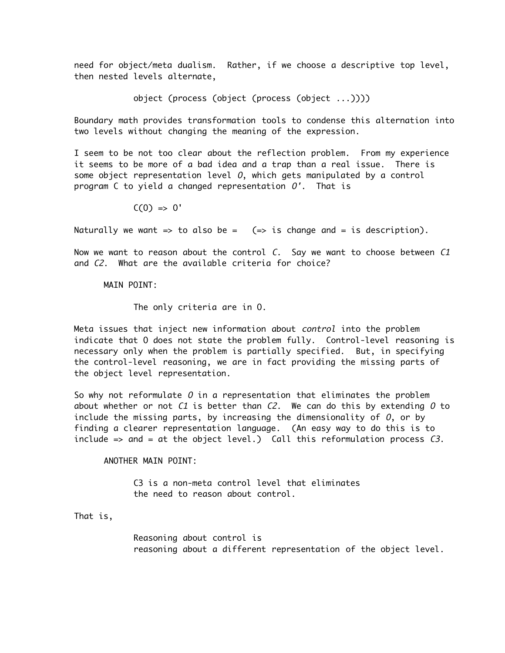need for object/meta dualism. Rather, if we choose a descriptive top level, then nested levels alternate,

object (process (object (process (object ...))))

Boundary math provides transformation tools to condense this alternation into two levels without changing the meaning of the expression.

I seem to be not too clear about the reflection problem. From my experience it seems to be more of a bad idea and a trap than a real issue. There is some object representation level  $0$ , which gets manipulated by a control program C to yield a changed representation O'. That is

 $C(0) \implies 0'$ 

Naturally we want => to also be =  $(=$ > is change and = is description).

Now we want to reason about the control  $C$ . Say we want to choose between  $C1$ and C2. What are the available criteria for choice?

## MAIN POINT:

The only criteria are in O.

Meta issues that inject new information about *control* into the problem indicate that O does not state the problem fully. Control-level reasoning is necessary only when the problem is partially specified. But, in specifying the control-level reasoning, we are in fact providing the missing parts of the object level representation.

So why not reformulate  $0$  in a representation that eliminates the problem about whether or not C1 is better than C2. We can do this by extending  $0$  to include the missing parts, by increasing the dimensionality of  $0$ , or by finding a clearer representation language. (An easy way to do this is to include  $\Rightarrow$  and = at the object level.) Call this reformulation process C3.

ANOTHER MAIN POINT:

C3 is a non-meta control level that eliminates the need to reason about control.

That is,

Reasoning about control is reasoning about a different representation of the object level.